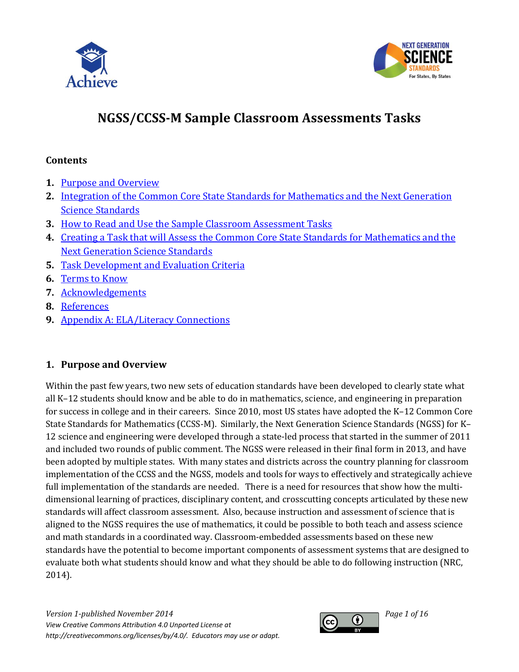



# **NGSS/CCSS-M Sample Classroom Assessments Tasks**

### <span id="page-0-1"></span>**Contents**

- **1.** [Purpose and Overview](#page-0-0)
- **2.** [Integration of the Common Core State Standards for Mathematics and the Next Generation](#page-1-0)  [Science Standards](#page-1-0)
- **3.** [How to Read and Use the Sample Classroom Assessment Tasks](#page-3-0)
- **4.** [Creating a Task that will Assess the Common Core State Standards for Mathematics and the](#page-5-0)  [Next Generation Science Standards](#page-5-0)
- **5.** [Task Development and Evaluation Criteria](#page-10-0)
- **6.** [Terms to Know](#page-12-0)
- **7.** [Acknowledgements](#page-13-0)
- **8.** [References](#page-13-1)
- **9.** [Appendix A: ELA/Literacy Connections](#page-14-0)

### <span id="page-0-0"></span>**1. Purpose and Overview**

Within the past few years, two new sets of education standards have been developed to clearly state what all K–12 students should know and be able to do in mathematics, science, and engineering in preparation for success in college and in their careers. Since 2010, most US states have adopted the K–12 Common Core State Standards for Mathematics (CCSS-M). Similarly, the Next Generation Science Standards (NGSS) for K– 12 science and engineering were developed through a state-led process that started in the summer of 2011 and included two rounds of public comment. The NGSS were released in their final form in 2013, and have been adopted by multiple states. With many states and districts across the country planning for classroom implementation of the CCSS and the NGSS, models and tools for ways to effectively and strategically achieve full implementation of the standards are needed. There is a need for resources that show how the multidimensional learning of practices, disciplinary content, and crosscutting concepts articulated by these new standards will affect classroom assessment. Also, because instruction and assessment of science that is aligned to the NGSS requires the use of mathematics, it could be possible to both teach and assess science and math standards in a coordinated way. Classroom-embedded assessments based on these new standards have the potential to become important components of assessment systems that are designed to evaluate both what students should know and what they should be able to do following instruction (NRC, 2014).

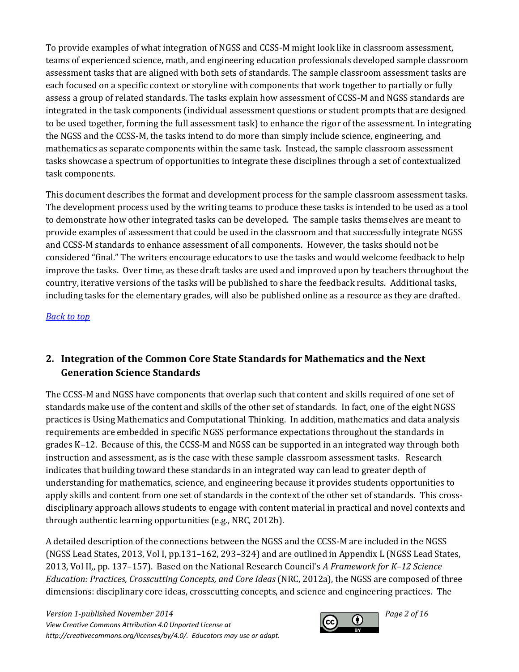To provide examples of what integration of NGSS and CCSS-M might look like in classroom assessment, teams of experienced science, math, and engineering education professionals developed sample classroom assessment tasks that are aligned with both sets of standards. The sample classroom assessment tasks are each focused on a specific context or storyline with components that work together to partially or fully assess a group of related standards. The tasks explain how assessment of CCSS-M and NGSS standards are integrated in the task components (individual assessment questions or student prompts that are designed to be used together, forming the full assessment task) to enhance the rigor of the assessment. In integrating the NGSS and the CCSS-M, the tasks intend to do more than simply include science, engineering, and mathematics as separate components within the same task. Instead, the sample classroom assessment tasks showcase a spectrum of opportunities to integrate these disciplines through a set of contextualized task components.

This document describes the format and development process for the sample classroom assessment tasks. The development process used by the writing teams to produce these tasks is intended to be used as a tool to demonstrate how other integrated tasks can be developed. The sample tasks themselves are meant to provide examples of assessment that could be used in the classroom and that successfully integrate NGSS and CCSS-M standards to enhance assessment of all components. However, the tasks should not be considered "final." The writers encourage educators to use the tasks and would welcome feedback to help improve the tasks. Over time, as these draft tasks are used and improved upon by teachers throughout the country, iterative versions of the tasks will be published to share the feedback results. Additional tasks, including tasks for the elementary grades, will also be published online as a resource as they are drafted.

*[Back to top](#page-0-1)*

# <span id="page-1-0"></span>**2. Integration of the Common Core State Standards for Mathematics and the Next Generation Science Standards**

The CCSS-M and NGSS have components that overlap such that content and skills required of one set of standards make use of the content and skills of the other set of standards. In fact, one of the eight NGSS practices is Using Mathematics and Computational Thinking. In addition, mathematics and data analysis requirements are embedded in specific NGSS performance expectations throughout the standards in grades K–12. Because of this, the CCSS-M and NGSS can be supported in an integrated way through both instruction and assessment, as is the case with these sample classroom assessment tasks. Research indicates that building toward these standards in an integrated way can lead to greater depth of understanding for mathematics, science, and engineering because it provides students opportunities to apply skills and content from one set of standards in the context of the other set of standards. This crossdisciplinary approach allows students to engage with content material in practical and novel contexts and through authentic learning opportunities (e.g., NRC, 2012b).

A detailed description of the connections between the NGSS and the CCSS-M are included in the NGSS (NGSS Lead States, 2013, Vol I, pp.131–162, 293–324) and are outlined in Appendix L (NGSS Lead States, 2013, Vol II,, pp. 137–157). Based on the National Research Council's *A Framework for K–12 Science Education: Practices, Crosscutting Concepts, and Core Ideas* (NRC, 2012a), the NGSS are composed of three dimensions: disciplinary core ideas, crosscutting concepts, and science and engineering practices. The

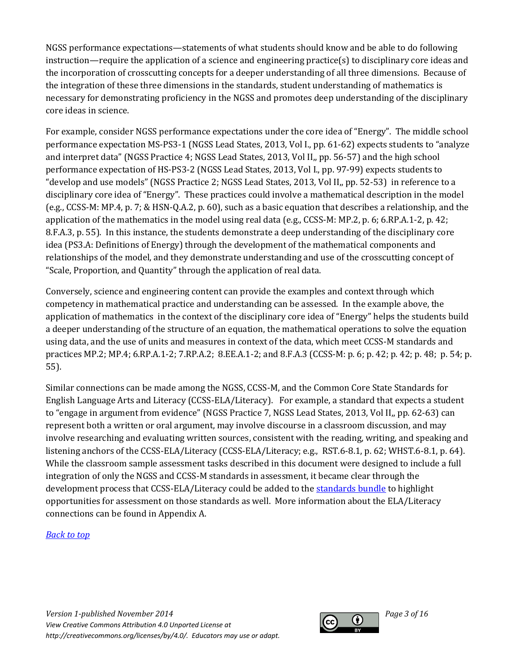NGSS performance expectations—statements of what students should know and be able to do following instruction—require the application of a science and engineering practice(s) to disciplinary core ideas and the incorporation of crosscutting concepts for a deeper understanding of all three dimensions. Because of the integration of these three dimensions in the standards, student understanding of mathematics is necessary for demonstrating proficiency in the NGSS and promotes deep understanding of the disciplinary core ideas in science.

For example, consider NGSS performance expectations under the core idea of "Energy". The middle school performance expectation MS-PS3-1 (NGSS Lead States, 2013, Vol I., pp. 61-62) expects students to "analyze and interpret data" (NGSS Practice 4; NGSS Lead States, 2013, Vol II,, pp. 56-57) and the high school performance expectation of HS-PS3-2 (NGSS Lead States, 2013, Vol I., pp. 97-99) expects students to "develop and use models" (NGSS Practice 2; NGSS Lead States, 2013, Vol II,, pp. 52-53) in reference to a disciplinary core idea of "Energy". These practices could involve a mathematical description in the model (e.g., CCSS-M: MP.4, p. 7; & HSN-Q.A.2, p. 60), such as a basic equation that describes a relationship, and the application of the mathematics in the model using real data (e.g., CCSS-M: MP.2, p. 6; 6.RP.A.1-2, p. 42; 8.F.A.3, p. 55). In this instance, the students demonstrate a deep understanding of the disciplinary core idea (PS3.A: Definitions of Energy) through the development of the mathematical components and relationships of the model, and they demonstrate understanding and use of the crosscutting concept of "Scale, Proportion, and Quantity" through the application of real data.

Conversely, science and engineering content can provide the examples and context through which competency in mathematical practice and understanding can be assessed. In the example above, the application of mathematics in the context of the disciplinary core idea of "Energy" helps the students build a deeper understanding of the structure of an equation, the mathematical operations to solve the equation using data, and the use of units and measures in context of the data, which meet CCSS-M standards and practices MP.2; MP.4; 6.RP.A.1-2; 7.RP.A.2; 8.EE.A.1-2; and 8.F.A.3 (CCSS-M: p. 6; p. 42; p. 42; p. 48; p. 54; p. 55).

Similar connections can be made among the NGSS, CCSS-M, and the Common Core State Standards for English Language Arts and Literacy (CCSS-ELA/Literacy). For example, a standard that expects a student to "engage in argument from evidence" (NGSS Practice 7, NGSS Lead States, 2013, Vol II,, pp. 62-63) can represent both a written or oral argument, may involve discourse in a classroom discussion, and may involve researching and evaluating written sources, consistent with the reading, writing, and speaking and listening anchors of the CCSS-ELA/Literacy (CCSS-ELA/Literacy; e.g., RST.6-8.1, p. 62; WHST.6-8.1, p. 64). While the classroom sample assessment tasks described in this document were designed to include a full integration of only the NGSS and CCSS-M standards in assessment, it became clear through the development process that CCSS-ELA/Literacy could be added to th[e standards bundle](#page-12-0) to highlight opportunities for assessment on those standards as well. More information about the ELA/Literacy connections can be found in Appendix A.

### *[Back to top](#page-0-1)*

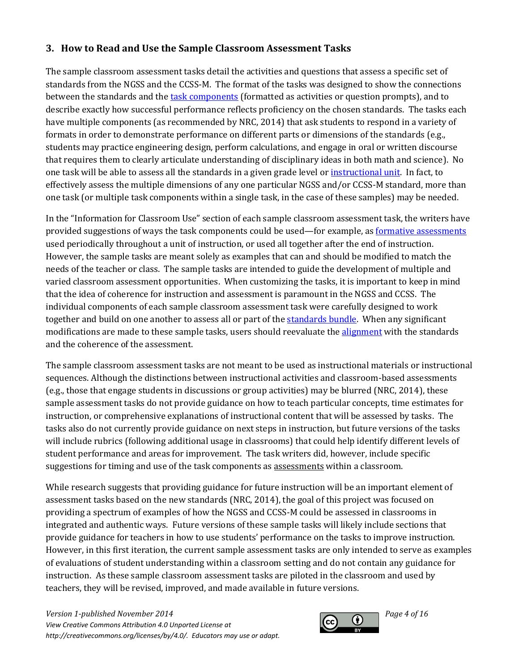### <span id="page-3-0"></span>**3. How to Read and Use the Sample Classroom Assessment Tasks**

The sample classroom assessment tasks detail the activities and questions that assess a specific set of standards from the NGSS and the CCSS-M. The format of the tasks was designed to show the connections between the standards and the [task components](#page-12-0) (formatted as activities or question prompts), and to describe exactly how successful performance reflects proficiency on the chosen standards. The tasks each have multiple components (as recommended by NRC, 2014) that ask students to respond in a variety of formats in order to demonstrate performance on different parts or dimensions of the standards (e.g., students may practice engineering design, perform calculations, and engage in oral or written discourse that requires them to clearly articulate understanding of disciplinary ideas in both math and science). No one task will be able to assess all the standards in a given grade level o[r instructional unit.](#page-12-0) In fact, to effectively assess the multiple dimensions of any one particular NGSS and/or CCSS-M standard, more than one task (or multiple task components within a single task, in the case of these samples) may be needed.

In the "Information for Classroom Use" section of each sample classroom assessment task, the writers have provided suggestions of ways the task components could be used—for example, a[s formative assessments](#page-12-0) used periodically throughout a unit of instruction, or used all together after the end of instruction. However, the sample tasks are meant solely as examples that can and should be modified to match the needs of the teacher or class. The sample tasks are intended to guide the development of multiple and varied classroom assessment opportunities. When customizing the tasks, it is important to keep in mind that the idea of coherence for instruction and assessment is paramount in the NGSS and CCSS. The individual components of each sample classroom assessment task were carefully designed to work together and build on one another to assess all or part of the [standards](#page-12-0) bundle. When any significant modifications are made to these sample tasks, users should reevaluate th[e alignment](#page-12-0) with the standards and the coherence of the assessment.

The sample classroom assessment tasks are not meant to be used as instructional materials or instructional sequences. Although the distinctions between instructional activities and classroom-based assessments (e.g., those that engage students in discussions or group activities) may be blurred (NRC, 2014), these sample assessment tasks do not provide guidance on how to teach particular concepts, time estimates for instruction, or comprehensive explanations of instructional content that will be assessed by tasks. The tasks also do not currently provide guidance on next steps in instruction, but future versions of the tasks will include rubrics (following additional usage in classrooms) that could help identify different levels of student performance and areas for improvement. The task writers did, however, include specific suggestions for timing and use of the task components as assessments within a classroom.

While research suggests that providing guidance for future instruction will be an important element of assessment tasks based on the new standards (NRC, 2014), the goal of this project was focused on providing a spectrum of examples of how the NGSS and CCSS-M could be assessed in classrooms in integrated and authentic ways. Future versions of these sample tasks will likely include sections that provide guidance for teachers in how to use students' performance on the tasks to improve instruction. However, in this first iteration, the current sample assessment tasks are only intended to serve as examples of evaluations of student understanding within a classroom setting and do not contain any guidance for instruction. As these sample classroom assessment tasks are piloted in the classroom and used by teachers, they will be revised, improved, and made available in future versions.

*Version 1-published November 2014 Page 4 of 16 View Creative Commons Attribution 4.0 Unported License at http://creativecommons.org/licenses/by/4.0/. Educators may use or adapt.*

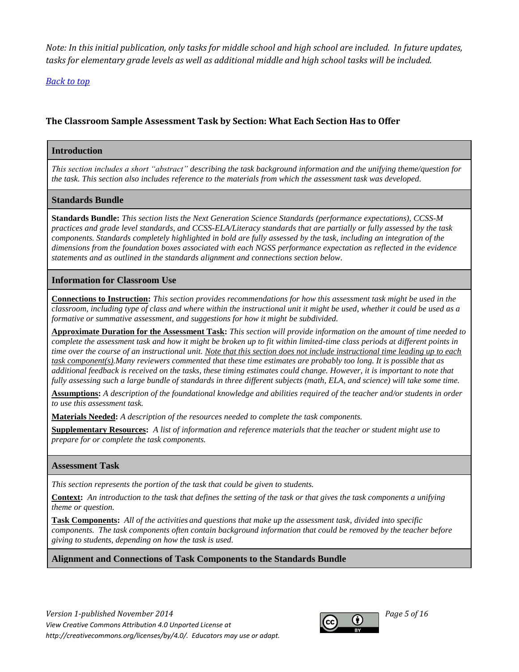*Note: In this initial publication, only tasks for middle school and high school are included. In future updates, tasks for elementary grade levels as well as additional middle and high school tasks will be included.*

*[Back to top](#page-0-1)*

### **The Classroom Sample Assessment Task by Section: What Each Section Has to Offer**

#### **Introduction**

*This section includes a short "abstract" describing the task background information and the unifying theme/question for the task. This section also includes reference to the materials from which the assessment task was developed.*

#### **Standards Bundle**

**Standards Bundle:** *This section lists the Next Generation Science Standards (performance expectations), CCSS-M practices and grade level standards, and CCSS-ELA/Literacy standards that are partially or fully assessed by the task components. Standards completely highlighted in bold are fully assessed by the task, including an integration of the dimensions from the foundation boxes associated with each NGSS performance expectation as reflected in the evidence statements and as outlined in the standards alignment and connections section below.*

#### **Information for Classroom Use**

**Connections to Instruction:** *This section provides recommendations for how this assessment task might be used in the classroom, including type of class and where within the instructional unit it might be used, whether it could be used as a formative or summative assessment, and suggestions for how it might be subdivided.* 

**Approximate Duration for the Assessment Task:** *This section will provide information on the amount of time needed to complete the assessment task and how it might be broken up to fit within limited-time class periods at different points in time over the course of an instructional unit. Note that this section does not include instructional time leading up to each task component(s).Many reviewers commented that these time estimates are probably too long. It is possible that as additional feedback is received on the tasks, these timing estimates could change. However, it is important to note that fully assessing such a large bundle of standards in three different subjects (math, ELA, and science) will take some time.*

**Assumptions:** *A description of the foundational knowledge and abilities required of the teacher and/or students in order to use this assessment task.*

**Materials Needed:** *A description of the resources needed to complete the task components.*

**Supplementary Resources:** *A list of information and reference materials that the teacher or student might use to prepare for or complete the task components.*

#### **Assessment Task**

*This section represents the portion of the task that could be given to students.*

**Context:** *An introduction to the task that defines the setting of the task or that gives the task components a unifying theme or question.*

**Task Components:** *All of the activities and questions that make up the assessment task, divided into specific components. The task components often contain background information that could be removed by the teacher before giving to students, depending on how the task is used.*

#### **Alignment and Connections of Task Components to the Standards Bundle**

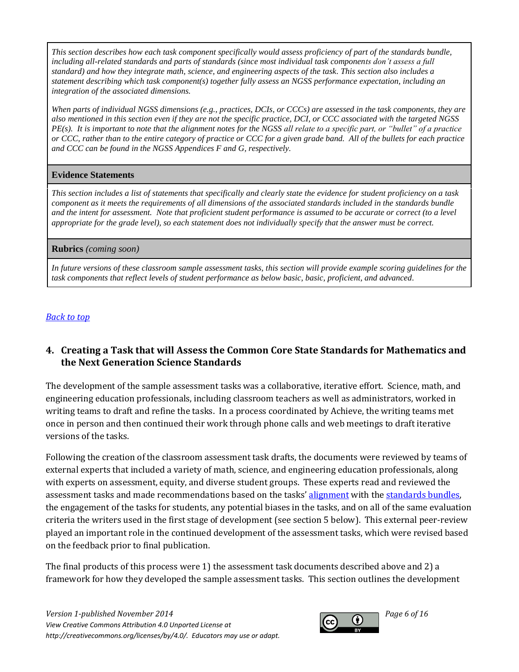*This section describes how each task component specifically would assess proficiency of part of the standards bundle,*  including all-related standards and parts of standards (since most individual task components don't assess a full *standard) and how they integrate math, science, and engineering aspects of the task. This section also includes a statement describing which task component(s) together fully assess an NGSS performance expectation, including an integration of the associated dimensions.*

*When parts of individual NGSS dimensions (e.g., practices, DCIs, or CCCs) are assessed in the task components, they are also mentioned in this section even if they are not the specific practice, DCI, or CCC associated with the targeted NGSS PE(s). It is important to note that the alignment notes for the NGSS all relate to a specific part, or "bullet" of a practice or CCC, rather than to the entire category of practice or CCC for a given grade band. All of the bullets for each practice and CCC can be found in the NGSS Appendices F and G, respectively.*

#### **Evidence Statements**

*This section includes a list of statements that specifically and clearly state the evidence for student proficiency on a task component as it meets the requirements of all dimensions of the associated standards included in the standards bundle and the intent for assessment. Note that proficient student performance is assumed to be accurate or correct (to a level appropriate for the grade level), so each statement does not individually specify that the answer must be correct.*

#### **Rubrics** *(coming soon)*

*In future versions of these classroom sample assessment tasks, this section will provide example scoring guidelines for the task components that reflect levels of student performance as below basic, basic, proficient, and advanced.*

#### *[Back to top](#page-0-1)*

### <span id="page-5-0"></span>**4. Creating a Task that will Assess the Common Core State Standards for Mathematics and the Next Generation Science Standards**

The development of the sample assessment tasks was a collaborative, iterative effort. Science, math, and engineering education professionals, including classroom teachers as well as administrators, worked in writing teams to draft and refine the tasks. In a process coordinated by Achieve, the writing teams met once in person and then continued their work through phone calls and web meetings to draft iterative versions of the tasks.

Following the creation of the classroom assessment task drafts, the documents were reviewed by teams of external experts that included a variety of math, science, and engineering education professionals, along with experts on assessment, equity, and diverse student groups. These experts read and reviewed the assessment tasks and made recommendations based on the tasks' [alignment](#page-12-0) with the standards bundles, the engagement of the tasks for students, any potential biases in the tasks, and on all of the same evaluation criteria the writers used in the first stage of development (see section 5 below). This external peer-review played an important role in the continued development of the assessment tasks, which were revised based on the feedback prior to final publication.

The final products of this process were 1) the assessment task documents described above and 2) a framework for how they developed the sample assessment tasks. This section outlines the development

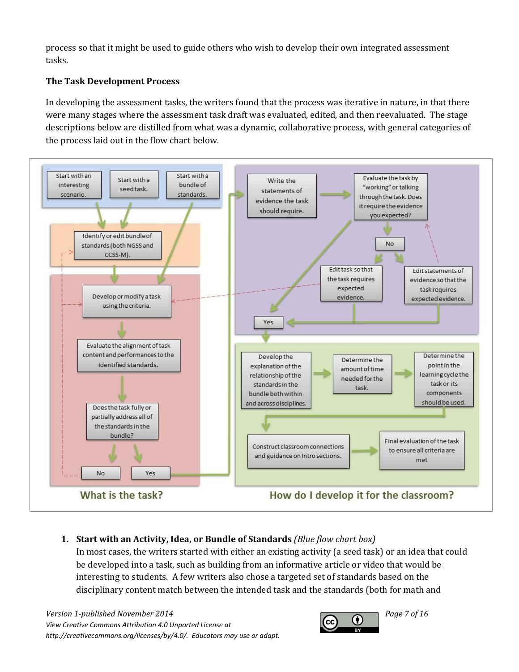process so that it might be used to guide others who wish to develop their own integrated assessment tasks.

### **The Task Development Process**

In developing the assessment tasks, the writers found that the process was iterative in nature, in that there were many stages where the assessment task draft was evaluated, edited, and then reevaluated. The stage descriptions below are distilled from what was a dynamic, collaborative process, with general categories of the process laid out in the flow chart below.



# **1. Start with an Activity, Idea, or Bundle of Standards** *(Blue flow chart box)*

In most cases, the writers started with either an existing activity (a seed task) or an idea that could be developed into a task, such as building from an informative article or video that would be interesting to students. A few writers also chose a targeted set of standards based on the disciplinary content match between the intended task and the standards (both for math and

*Version 1-published November 2014*<br>*View Creating Commons Attribution 4.0 Unperted Lisance at View Creative Commons Attribution 4.0 Unported License at http://creativecommons.org/licenses/by/4.0/. Educators may use or adapt.*

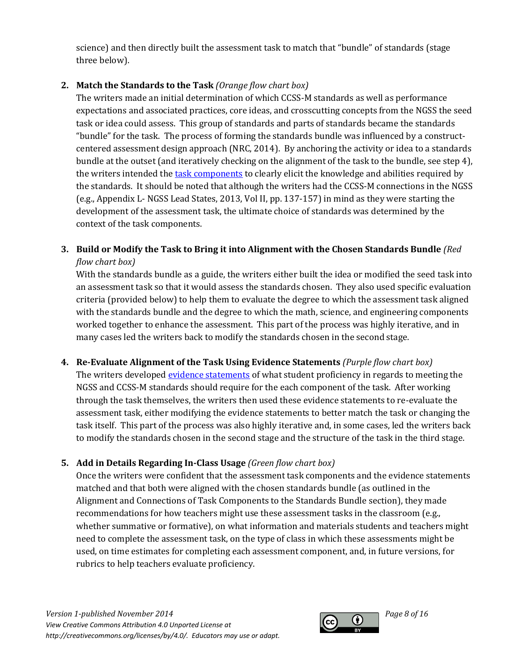science) and then directly built the assessment task to match that "bundle" of standards (stage three below).

### **2. Match the Standards to the Task** *(Orange flow chart box)*

The writers made an initial determination of which CCSS-M standards as well as performance expectations and associated practices, core ideas, and crosscutting concepts from the NGSS the seed task or idea could assess. This group of standards and parts of standards became the standards "bundle" for the task. The process of forming the standards bundle was influenced by a constructcentered assessment design approach (NRC, 2014). By anchoring the activity or idea to a standards bundle at the outset (and iteratively checking on the alignment of the task to the bundle, see step 4), the writers intended th[e task components](#page-12-0) to clearly elicit the knowledge and abilities required by the standards. It should be noted that although the writers had the CCSS-M connections in the NGSS (e.g., Appendix L- NGSS Lead States, 2013, Vol II, pp. 137-157) in mind as they were starting the development of the assessment task, the ultimate choice of standards was determined by the context of the task components.

# **3. Build or Modify the Task to Bring it into Alignment with the Chosen Standards Bundle** *(Red flow chart box)*

With the standards bundle as a guide, the writers either built the idea or modified the seed task into an assessment task so that it would assess the standards chosen. They also used specific evaluation criteria (provided below) to help them to evaluate the degree to which the assessment task aligned with the standards bundle and the degree to which the math, science, and engineering components worked together to enhance the assessment. This part of the process was highly iterative, and in many cases led the writers back to modify the standards chosen in the second stage.

### **4. Re-Evaluate Alignment of the Task Using Evidence Statements** *(Purple flow chart box)*

The writers develope[d evidence statements](#page-12-0) of what student proficiency in regards to meeting the NGSS and CCSS-M standards should require for the each component of the task. After working through the task themselves, the writers then used these evidence statements to re-evaluate the assessment task, either modifying the evidence statements to better match the task or changing the task itself. This part of the process was also highly iterative and, in some cases, led the writers back to modify the standards chosen in the second stage and the structure of the task in the third stage.

### **5. Add in Details Regarding In-Class Usage** *(Green flow chart box)*

Once the writers were confident that the assessment task components and the evidence statements matched and that both were aligned with the chosen standards bundle (as outlined in the Alignment and Connections of Task Components to the Standards Bundle section), they made recommendations for how teachers might use these assessment tasks in the classroom (e.g., whether summative or formative), on what information and materials students and teachers might need to complete the assessment task, on the type of class in which these assessments might be used, on time estimates for completing each assessment component, and, in future versions, for rubrics to help teachers evaluate proficiency.

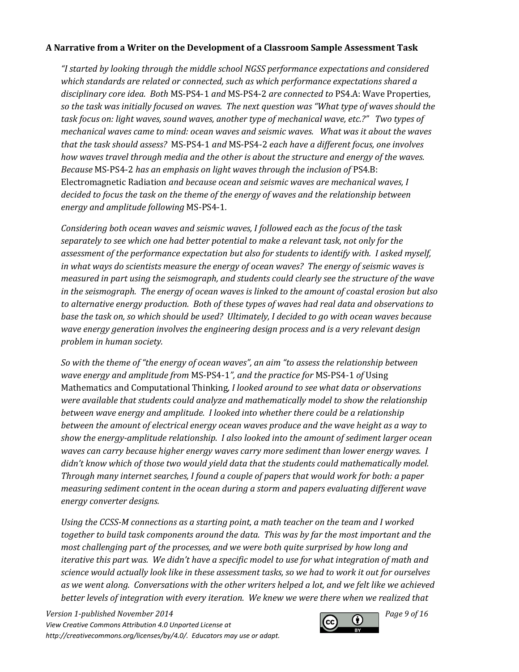#### **A Narrative from a Writer on the Development of a Classroom Sample Assessment Task**

*"I started by looking through the middle school NGSS performance expectations and considered which standards are related or connected, such as which performance expectations shared a disciplinary core idea. Both* MS-PS4-1 *and* MS-PS4-2 *are connected to* PS4.A: Wave Properties*, so the task was initially focused on waves. The next question was "What type of waves should the task focus on: light waves, sound waves, another type of mechanical wave, etc.?" Two types of mechanical waves came to mind: ocean waves and seismic waves. What was it about the waves that the task should assess?* MS-PS4-1 *and* MS-PS4-2 *each have a different focus, one involves how waves travel through media and the other is about the structure and energy of the waves. Because* MS-PS4-2 *has an emphasis on light waves through the inclusion of* PS4.B: Electromagnetic Radiation *and because ocean and seismic waves are mechanical waves, I decided to focus the task on the theme of the energy of waves and the relationship between energy and amplitude following* MS-PS4-1*.* 

*Considering both ocean waves and seismic waves, I followed each as the focus of the task separately to see which one had better potential to make a relevant task, not only for the assessment of the performance expectation but also for students to identify with. I asked myself, in what ways do scientists measure the energy of ocean waves? The energy of seismic waves is measured in part using the seismograph, and students could clearly see the structure of the wave in the seismograph. The energy of ocean waves is linked to the amount of coastal erosion but also to alternative energy production. Both of these types of waves had real data and observations to base the task on, so which should be used? Ultimately, I decided to go with ocean waves because wave energy generation involves the engineering design process and is a very relevant design problem in human society.* 

*So with the theme of "the energy of ocean waves", an aim "to assess the relationship between wave energy and amplitude from* MS-PS4-1*", and the practice for* MS-PS4-1 *of* Using Mathematics and Computational Thinking*, I looked around to see what data or observations were available that students could analyze and mathematically model to show the relationship between wave energy and amplitude. I looked into whether there could be a relationship between the amount of electrical energy ocean waves produce and the wave height as a way to show the energy-amplitude relationship. I also looked into the amount of sediment larger ocean waves can carry because higher energy waves carry more sediment than lower energy waves. I didn't know which of those two would yield data that the students could mathematically model. Through many internet searches, I found a couple of papers that would work for both: a paper measuring sediment content in the ocean during a storm and papers evaluating different wave energy converter designs.* 

*Using the CCSS-M connections as a starting point, a math teacher on the team and I worked together to build task components around the data. This was by far the most important and the most challenging part of the processes, and we were both quite surprised by how long and iterative this part was. We didn't have a specific model to use for what integration of math and science would actually look like in these assessment tasks, so we had to work it out for ourselves as we went along. Conversations with the other writers helped a lot, and we felt like we achieved better levels of integration with every iteration. We knew we were there when we realized that* 

*Version 1-published November 2014 Page 9 of 16 Page 9 of 16 Page 9 of 16 Page 9 of 16 View Creative Commons Attribution 4.0 Unported License at http://creativecommons.org/licenses/by/4.0/. Educators may use or adapt.*

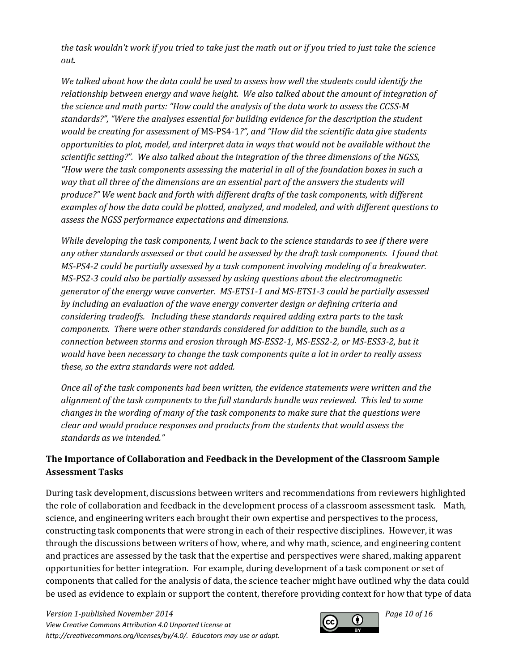*the task wouldn't work if you tried to take just the math out or if you tried to just take the science out.* 

*We talked about how the data could be used to assess how well the students could identify the relationship between energy and wave height. We also talked about the amount of integration of the science and math parts: "How could the analysis of the data work to assess the CCSS-M standards?", "Were the analyses essential for building evidence for the description the student would be creating for assessment of* MS-PS4-1*?", and "How did the scientific data give students opportunities to plot, model, and interpret data in ways that would not be available without the scientific setting?". We also talked about the integration of the three dimensions of the NGSS, "How were the task components assessing the material in all of the foundation boxes in such a way that all three of the dimensions are an essential part of the answers the students will produce?" We went back and forth with different drafts of the task components, with different examples of how the data could be plotted, analyzed, and modeled, and with different questions to assess the NGSS performance expectations and dimensions.* 

*While developing the task components, I went back to the science standards to see if there were any other standards assessed or that could be assessed by the draft task components. I found that MS-PS4-2 could be partially assessed by a task component involving modeling of a breakwater. MS-PS2-3 could also be partially assessed by asking questions about the electromagnetic generator of the energy wave converter. MS-ETS1-1 and MS-ETS1-3 could be partially assessed by including an evaluation of the wave energy converter design or defining criteria and considering tradeoffs. Including these standards required adding extra parts to the task components. There were other standards considered for addition to the bundle, such as a connection between storms and erosion through MS-ESS2-1, MS-ESS2-2, or MS-ESS3-2, but it would have been necessary to change the task components quite a lot in order to really assess these, so the extra standards were not added.*

*Once all of the task components had been written, the evidence statements were written and the alignment of the task components to the full standards bundle was reviewed. This led to some changes in the wording of many of the task components to make sure that the questions were clear and would produce responses and products from the students that would assess the standards as we intended."*

### **The Importance of Collaboration and Feedback in the Development of the Classroom Sample Assessment Tasks**

During task development, discussions between writers and recommendations from reviewers highlighted the role of collaboration and feedback in the development process of a classroom assessment task. Math, science, and engineering writers each brought their own expertise and perspectives to the process, constructing task components that were strong in each of their respective disciplines. However, it was through the discussions between writers of how, where, and why math, science, and engineering content and practices are assessed by the task that the expertise and perspectives were shared, making apparent opportunities for better integration. For example, during development of a task component or set of components that called for the analysis of data, the science teacher might have outlined why the data could be used as evidence to explain or support the content, therefore providing context for how that type of data

*Version 1-published November 2014 Page 10 of 16 Page 10 of 16 Page 10 of 16 View Creative Commons Attribution 4.0 Unported License at http://creativecommons.org/licenses/by/4.0/. Educators may use or adapt.*

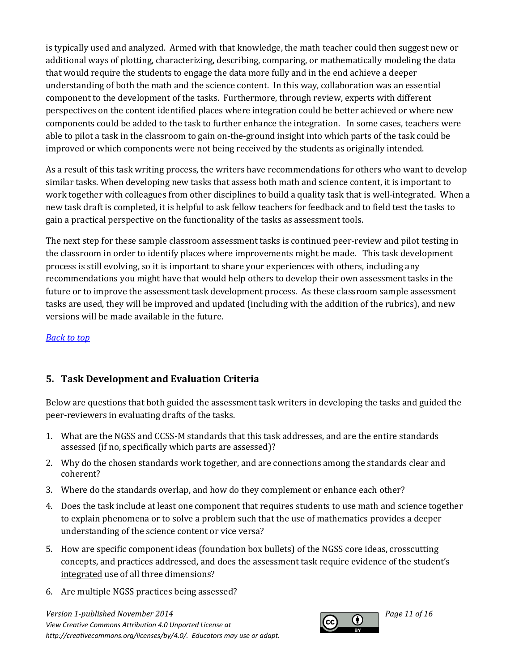is typically used and analyzed. Armed with that knowledge, the math teacher could then suggest new or additional ways of plotting, characterizing, describing, comparing, or mathematically modeling the data that would require the students to engage the data more fully and in the end achieve a deeper understanding of both the math and the science content. In this way, collaboration was an essential component to the development of the tasks. Furthermore, through review, experts with different perspectives on the content identified places where integration could be better achieved or where new components could be added to the task to further enhance the integration. In some cases, teachers were able to pilot a task in the classroom to gain on-the-ground insight into which parts of the task could be improved or which components were not being received by the students as originally intended.

As a result of this task writing process, the writers have recommendations for others who want to develop similar tasks. When developing new tasks that assess both math and science content, it is important to work together with colleagues from other disciplines to build a quality task that is well-integrated. When a new task draft is completed, it is helpful to ask fellow teachers for feedback and to field test the tasks to gain a practical perspective on the functionality of the tasks as assessment tools.

The next step for these sample classroom assessment tasks is continued peer-review and pilot testing in the classroom in order to identify places where improvements might be made. This task development process is still evolving, so it is important to share your experiences with others, including any recommendations you might have that would help others to develop their own assessment tasks in the future or to improve the assessment task development process. As these classroom sample assessment tasks are used, they will be improved and updated (including with the addition of the rubrics), and new versions will be made available in the future.

### *[Back to top](#page-0-1)*

### <span id="page-10-0"></span>**5. Task Development and Evaluation Criteria**

Below are questions that both guided the assessment task writers in developing the tasks and guided the peer-reviewers in evaluating drafts of the tasks.

- 1. What are the NGSS and CCSS-M standards that this task addresses, and are the entire standards assessed (if no, specifically which parts are assessed)?
- 2. Why do the chosen standards work together, and are connections among the standards clear and coherent?
- 3. Where do the standards overlap, and how do they complement or enhance each other?
- 4. Does the task include at least one component that requires students to use math and science together to explain phenomena or to solve a problem such that the use of mathematics provides a deeper understanding of the science content or vice versa?
- 5. How are specific component ideas (foundation box bullets) of the NGSS core ideas, crosscutting concepts, and practices addressed, and does the assessment task require evidence of the student's integrated use of all three dimensions?
- 6. Are multiple NGSS practices being assessed?



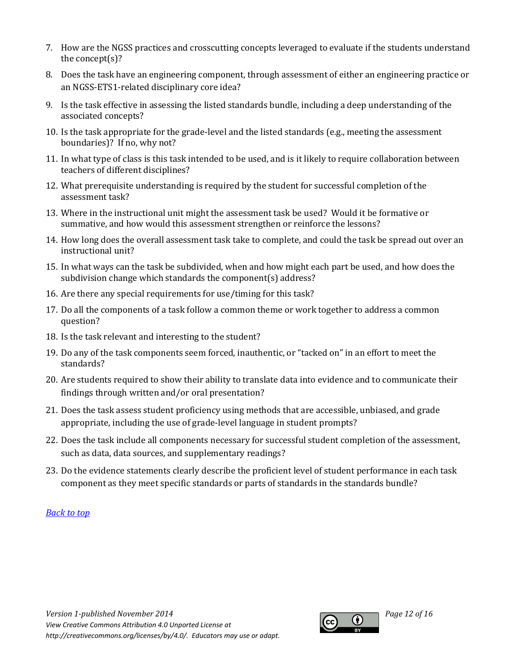- 7. How are the NGSS practices and crosscutting concepts leveraged to evaluate if the students understand the concept(s)?
- 8. Does the task have an engineering component, through assessment of either an engineering practice or an NGSS-ETS1-related disciplinary core idea?
- 9. Is the task effective in assessing the listed standards bundle, including a deep understanding of the associated concepts?
- 10. Is the task appropriate for the grade-level and the listed standards (e.g., meeting the assessment boundaries)? If no, why not?
- 11. In what type of class is this task intended to be used, and is it likely to require collaboration between teachers of different disciplines?
- 12. What prerequisite understanding is required by the student for successful completion of the assessment task?
- 13. Where in the instructional unit might the assessment task be used? Would it be formative or summative, and how would this assessment strengthen or reinforce the lessons?
- 14. How long does the overall assessment task take to complete, and could the task be spread out over an instructional unit?
- 15. In what ways can the task be subdivided, when and how might each part be used, and how does the subdivision change which standards the component(s) address?
- 16. Are there any special requirements for use/timing for this task?
- 17. Do all the components of a task follow a common theme or work together to address a common question?
- 18. Is the task relevant and interesting to the student?
- 19. Do any of the task components seem forced, inauthentic, or "tacked on" in an effort to meet the standards?
- 20. Are students required to show their ability to translate data into evidence and to communicate their findings through written and/or oral presentation?
- 21. Does the task assess student proficiency using methods that are accessible, unbiased, and grade appropriate, including the use of grade-level language in student prompts?
- 22. Does the task include all components necessary for successful student completion of the assessment, such as data, data sources, and supplementary readings?
- 23. Do the evidence statements clearly describe the proficient level of student performance in each task component as they meet specific standards or parts of standards in the standards bundle?

### *[Back to top](#page-0-1)*

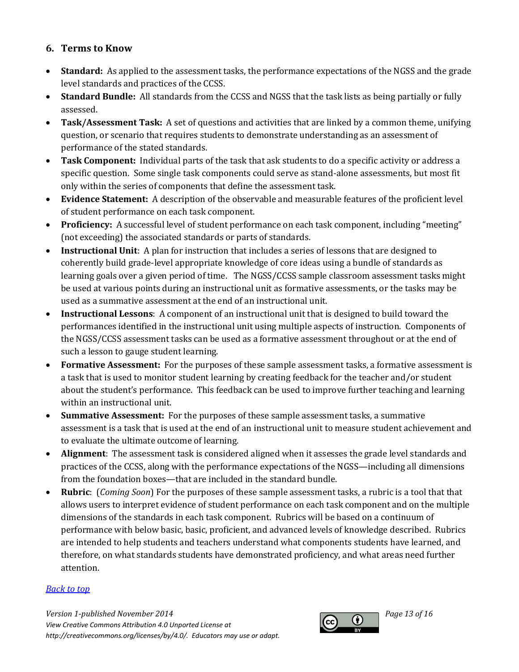### <span id="page-12-0"></span>**6. Terms to Know**

- **Standard:** As applied to the assessment tasks, the performance expectations of the NGSS and the grade level standards and practices of the CCSS.
- **Standard Bundle:** All standards from the CCSS and NGSS that the task lists as being partially or fully assessed.
- **Task/Assessment Task:** A set of questions and activities that are linked by a common theme, unifying question, or scenario that requires students to demonstrate understanding as an assessment of performance of the stated standards.
- **Task Component:** Individual parts of the task that ask students to do a specific activity or address a specific question. Some single task components could serve as stand-alone assessments, but most fit only within the series of components that define the assessment task.
- **Evidence Statement:** A description of the observable and measurable features of the proficient level of student performance on each task component.
- **Proficiency:** A successful level of student performance on each task component, including "meeting" (not exceeding) the associated standards or parts of standards.
- **Instructional Unit**: A plan for instruction that includes a series of lessons that are designed to coherently build grade-level appropriate knowledge of core ideas using a bundle of standards as learning goals over a given period of time. The NGSS/CCSS sample classroom assessment tasks might be used at various points during an instructional unit as formative assessments, or the tasks may be used as a summative assessment at the end of an instructional unit.
- **Instructional Lessons**: A component of an instructional unit that is designed to build toward the performances identified in the instructional unit using multiple aspects of instruction. Components of the NGSS/CCSS assessment tasks can be used as a formative assessment throughout or at the end of such a lesson to gauge student learning.
- **Formative Assessment:** For the purposes of these sample assessment tasks, a formative assessment is a task that is used to monitor student learning by creating feedback for the teacher and/or student about the student's performance. This feedback can be used to improve further teaching and learning within an instructional unit.
- **Summative Assessment:** For the purposes of these sample assessment tasks, a summative assessment is a task that is used at the end of an instructional unit to measure student achievement and to evaluate the ultimate outcome of learning.
- **Alignment**: The assessment task is considered aligned when it assesses the grade level standards and practices of the CCSS, along with the performance expectations of the NGSS—including all dimensions from the foundation boxes—that are included in the standard bundle.
- **Rubric**: (*Coming Soon*) For the purposes of these sample assessment tasks, a rubric is a tool that that allows users to interpret evidence of student performance on each task component and on the multiple dimensions of the standards in each task component. Rubrics will be based on a continuum of performance with below basic, basic, proficient, and advanced levels of knowledge described. Rubrics are intended to help students and teachers understand what components students have learned, and therefore, on what standards students have demonstrated proficiency, and what areas need further attention.

### *[Back to top](#page-0-1)*

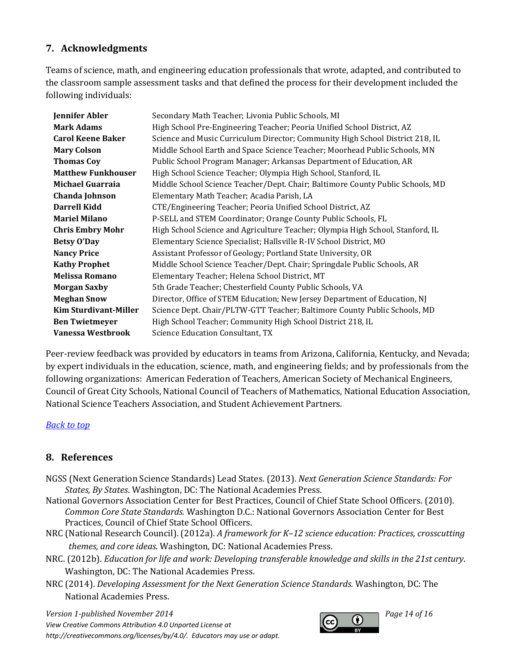### <span id="page-13-0"></span>**7. Acknowledgments**

Teams of science, math, and engineering education professionals that wrote, adapted, and contributed to the classroom sample assessment tasks and that defined the process for their development included the following individuals:

| <b>Jennifer Abler</b>        | Secondary Math Teacher; Livonia Public Schools, MI                             |
|------------------------------|--------------------------------------------------------------------------------|
| <b>Mark Adams</b>            | High School Pre-Engineering Teacher; Peoria Unified School District, AZ        |
| <b>Carol Keene Baker</b>     | Science and Music Curriculum Director; Community High School District 218, IL  |
| <b>Mary Colson</b>           | Middle School Earth and Space Science Teacher; Moorhead Public Schools, MN     |
| <b>Thomas Coy</b>            | Public School Program Manager; Arkansas Department of Education, AR            |
| <b>Matthew Funkhouser</b>    | High School Science Teacher; Olympia High School, Stanford, IL                 |
| <b>Michael Guarraia</b>      | Middle School Science Teacher/Dept. Chair; Baltimore County Public Schools, MD |
| Chanda Johnson               | Elementary Math Teacher; Acadia Parish, LA                                     |
| <b>Darrell Kidd</b>          | CTE/Engineering Teacher; Peoria Unified School District, AZ                    |
| <b>Mariel Milano</b>         | P-SELL and STEM Coordinator; Orange County Public Schools, FL                  |
| <b>Chris Embry Mohr</b>      | High School Science and Agriculture Teacher; Olympia High School, Stanford, IL |
| <b>Betsy O'Day</b>           | Elementary Science Specialist; Hallsville R-IV School District, MO             |
| <b>Nancy Price</b>           | Assistant Professor of Geology; Portland State University, OR                  |
| <b>Kathy Prophet</b>         | Middle School Science Teacher/Dept. Chair; Springdale Public Schools, AR       |
| <b>Melissa Romano</b>        | Elementary Teacher; Helena School District, MT                                 |
| <b>Morgan Saxby</b>          | 5th Grade Teacher; Chesterfield County Public Schools, VA                      |
| <b>Meghan Snow</b>           | Director, Office of STEM Education; New Jersey Department of Education, NJ     |
| <b>Kim Sturdivant-Miller</b> | Science Dept. Chair/PLTW-GTT Teacher; Baltimore County Public Schools, MD      |
| <b>Ben Twietmeyer</b>        | High School Teacher; Community High School District 218, IL                    |
| Vanessa Westbrook            | Science Education Consultant, TX                                               |

Peer-review feedback was provided by educators in teams from Arizona, California, Kentucky, and Nevada; by expert individuals in the education, science, math, and engineering fields; and by professionals from the following organizations: American Federation of Teachers, American Society of Mechanical Engineers, Council of Great City Schools, National Council of Teachers of Mathematics, National Education Association, National Science Teachers Association, and Student Achievement Partners.

#### *[Back to top](#page-0-1)*

### <span id="page-13-1"></span>**8. References**

- NGSS (Next Generation Science Standards) Lead States. (2013). *Next Generation Science Standards: For States, By States*. Washington, DC: The National Academies Press.
- National Governors Association Center for Best Practices, Council of Chief State School Officers. (2010). *Common Core State Standards.* Washington D.C.: National Governors Association Center for Best Practices, Council of Chief State School Officers.
- NRC (National Research Council). (2012a). *A framework for K–12 science education: Practices, crosscutting themes, and core ideas*. Washington, DC: National Academies Press.
- NRC. (2012b). *Education for life and work: Developing transferable knowledge and skills in the 21st century*. Washington, DC: The National Academies Press.
- NRC (2014). *Developing Assessment for the Next Generation Science Standards.* Washington, DC: The National Academies Press.

*Version 1-published November 2014 Page 14 of 16 View Creative Commons Attribution 4.0 Unported License at http://creativecommons.org/licenses/by/4.0/. Educators may use or adapt.*

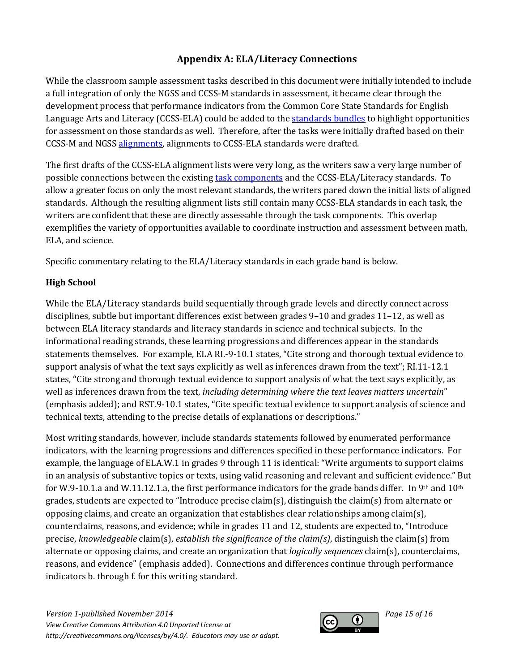# **Appendix A: ELA/Literacy Connections**

<span id="page-14-0"></span>While the classroom sample assessment tasks described in this document were initially intended to include a full integration of only the NGSS and CCSS-M standards in assessment, it became clear through the development process that performance indicators from the Common Core State Standards for English Language Arts and Literacy (CCSS-ELA) could be added to th[e standards bundles](#page-12-0) to highlight opportunities for assessment on those standards as well. Therefore, after the tasks were initially drafted based on their CCSS-M and NGSS [alignments,](#page-12-0) alignments to CCSS-ELA standards were drafted.

The first drafts of the CCSS-ELA alignment lists were very long, as the writers saw a very large number of possible connections between the existing [task components](#page-12-0) and the CCSS-ELA/Literacy standards. To allow a greater focus on only the most relevant standards, the writers pared down the initial lists of aligned standards. Although the resulting alignment lists still contain many CCSS-ELA standards in each task, the writers are confident that these are directly assessable through the task components. This overlap exemplifies the variety of opportunities available to coordinate instruction and assessment between math, ELA, and science.

Specific commentary relating to the ELA/Literacy standards in each grade band is below.

### **High School**

While the ELA/Literacy standards build sequentially through grade levels and directly connect across disciplines, subtle but important differences exist between grades 9–10 and grades 11–12, as well as between ELA literacy standards and literacy standards in science and technical subjects. In the informational reading strands, these learning progressions and differences appear in the standards statements themselves. For example, ELA RI.-9-10.1 states, "Cite strong and thorough textual evidence to support analysis of what the text says explicitly as well as inferences drawn from the text"; RI.11-12.1 states, "Cite strong and thorough textual evidence to support analysis of what the text says explicitly, as well as inferences drawn from the text, *including determining where the text leaves matters uncertain*" (emphasis added); and RST.9-10.1 states, "Cite specific textual evidence to support analysis of science and technical texts, attending to the precise details of explanations or descriptions."

Most writing standards, however, include standards statements followed by enumerated performance indicators, with the learning progressions and differences specified in these performance indicators. For example, the language of ELA.W.1 in grades 9 through 11 is identical: "Write arguments to support claims in an analysis of substantive topics or texts, using valid reasoning and relevant and sufficient evidence." But for W.9-10.1.a and W.11.12.1.a, the first performance indicators for the grade bands differ. In 9th and  $10<sup>th</sup>$ grades, students are expected to "Introduce precise claim(s), distinguish the claim(s) from alternate or opposing claims, and create an organization that establishes clear relationships among claim(s), counterclaims, reasons, and evidence; while in grades 11 and 12, students are expected to, "Introduce precise, *knowledgeable* claim(s), *establish the significance of the claim(s)*, distinguish the claim(s) from alternate or opposing claims, and create an organization that *logically sequences* claim(s), counterclaims, reasons, and evidence" (emphasis added). Connections and differences continue through performance indicators b. through f. for this writing standard.